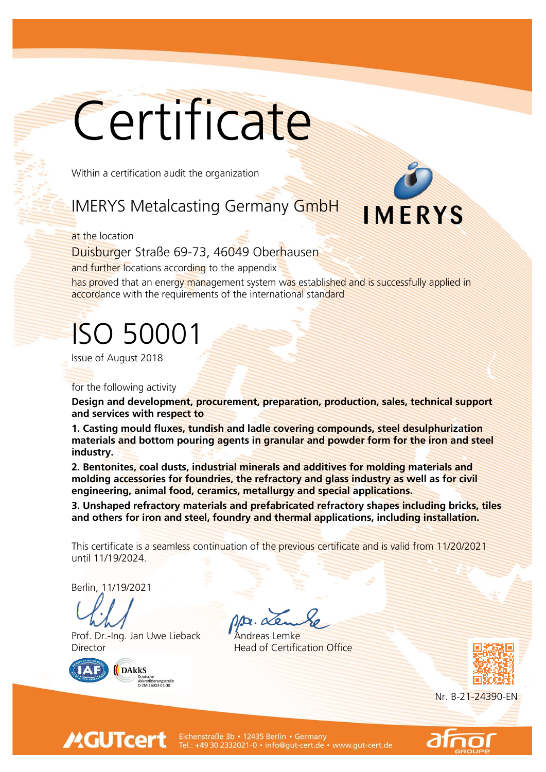# **Certificate**

**Within a certification audit the organization** 

## **IMERYS Metalcasting Germany GmbH**

#### **at the location**

**Duisburger Straße 69-73, 46049 Oberhausen**

**and further locations according to the appendix**

**has proved that an energy management system was established and is successfully applied in accordance with the requirements of the international standard**

# **ISO 50001**

**Issue of August 2018**

**for the following activity**

**Design and development, procurement, preparation, production, sales, technical support and services with respect to**

**1. Casting mould fluxes, tundish and ladle covering compounds, steel desulphurization materials and bottom pouring agents in granular and powder form for the iron and steel industry.**

**2. Bentonites, coal dusts, industrial minerals and additives for molding materials and molding accessories for foundries, the refractory and glass industry as well as for civil engineering, animal food, ceramics, metallurgy and special applications.**

**3. Unshaped refractory materials and prefabricated refractory shapes including bricks, tiles and others for iron and steel, foundry and thermal applications, including installation.**

**This certificate is a seamless continuation of the previous certificate and is valid from 11/20/2021 until 11/19/2024.**

**Berlin, 11/19/2021**

**Prof. Dr.-Ing. Jan Uwe Lieback Andreas Lemke Director Head of Certification Office**



**MGUTcert** 



**Nr. B-21-24390-EN**



IMERYS

Eichenstraße 3b · 12435 Berlin · Germany Tel.: +49 30 2332021-0 · info@gut-cert.de · www.gut-cert.de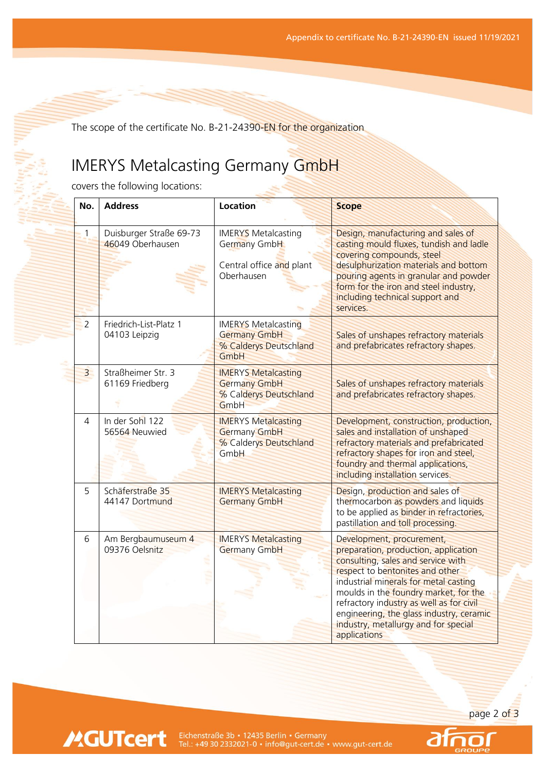**The scope of the certificate No. B-21-24390-EN for the organization** 

### **IMERYS Metalcasting Germany GmbH**

**covers the following locations:**

**MGUTcert** 

| No.            | <b>Address</b>                              | Location                                                                             | <b>Scope</b>                                                                                                                                                                                                                                                                                                                                                                 |
|----------------|---------------------------------------------|--------------------------------------------------------------------------------------|------------------------------------------------------------------------------------------------------------------------------------------------------------------------------------------------------------------------------------------------------------------------------------------------------------------------------------------------------------------------------|
| 1              | Duisburger Straße 69-73<br>46049 Oberhausen | <b>IMERYS Metalcasting</b><br>Germany GmbH<br>Central office and plant<br>Oberhausen | Design, manufacturing and sales of<br>casting mould fluxes, tundish and ladle<br>covering compounds, steel<br>desulphurization materials and bottom<br>pouring agents in granular and powder<br>form for the iron and steel industry,<br>including technical support and<br>services.                                                                                        |
| $\overline{2}$ | Friedrich-List-Platz 1<br>04103 Leipzig     | <b>IMERYS Metalcasting</b><br><b>Germany GmbH</b><br>% Calderys Deutschland<br>GmbH  | Sales of unshapes refractory materials<br>and prefabricates refractory shapes.                                                                                                                                                                                                                                                                                               |
| $\overline{3}$ | Straßheimer Str. 3<br>61169 Friedberg       | <b>IMERYS Metalcasting</b><br><b>Germany GmbH</b><br>% Calderys Deutschland<br>GmbH  | Sales of unshapes refractory materials<br>and prefabricates refractory shapes.                                                                                                                                                                                                                                                                                               |
| 4              | In der Sohl 122<br>56564 Neuwied            | <b>IMERYS Metalcasting</b><br><b>Germany GmbH</b><br>% Calderys Deutschland<br>GmbH  | Development, construction, production,<br>sales and installation of unshaped<br>refractory materials and prefabricated<br>refractory shapes for iron and steel,<br>foundry and thermal applications,<br>including installation services.                                                                                                                                     |
| 5              | Schäferstraße 35<br>44147 Dortmund          | <b>IMERYS Metalcasting</b><br><b>Germany GmbH</b>                                    | Design, production and sales of<br>thermocarbon as powders and liquids<br>to be applied as <b>binder</b> in refractories,<br>pastillation and toll processing.                                                                                                                                                                                                               |
| 6              | Am Bergbaumuseum 4<br>09376 Oelsnitz        | <b>IMERYS Metalcasting</b><br>Germany GmbH                                           | Development, procurement,<br>preparation, production, application<br>consulting, sales and service with<br>respect to bentonites and other<br>industrial minerals for metal casting<br>moulds in the foundry market, for the<br>refractory industry as well as for civil<br>engineering, the glass industry, ceramic<br>industry, metallurgy and for special<br>applications |

**page 2 of 3**

Eichenstraße 3b • 12435 Berlin • Germany<br>Tel.: +49 30 2332021-0 • info@gut-cert.de • www.gut-cert.de